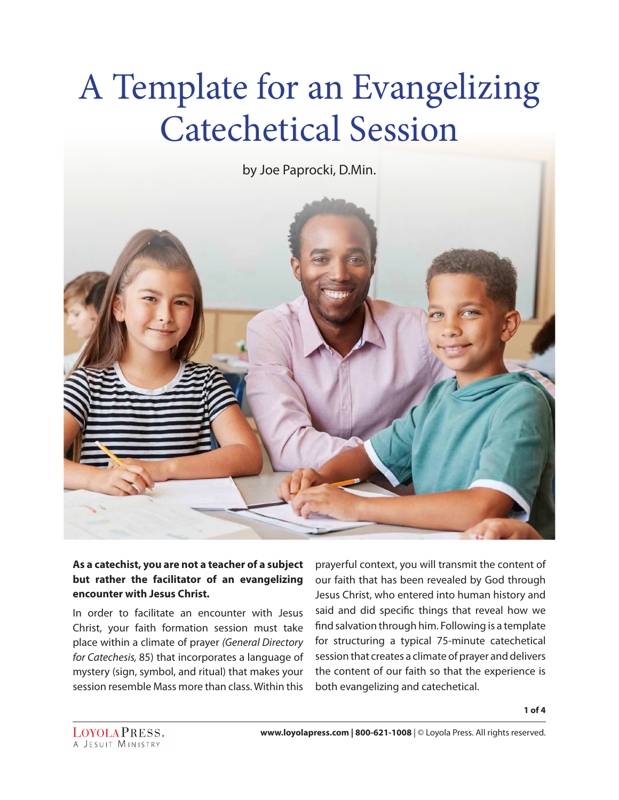# A Template for an Evangelizing Catechetical Session

by Joe Paprocki, D.Min.



#### **As a catechist, you are not a teacher of a subject but rather the facilitator of an evangelizing encounter with Jesus Christ.**

In order to facilitate an encounter with Jesus Christ, your faith formation session must take place within a climate of prayer *(General Directory for Catechesis,* 85) that incorporates a language of mystery (sign, symbol, and ritual) that makes your session resemble Mass more than class. Within this

prayerful context, you will transmit the content of our faith that has been revealed by God through Jesus Christ, who entered into human history and said and did specific things that reveal how we find salvation through him. Following is a template for structuring a typical 75-minute catechetical session that creates a climate of prayer and delivers the content of our faith so that the experience is both evangelizing and catechetical.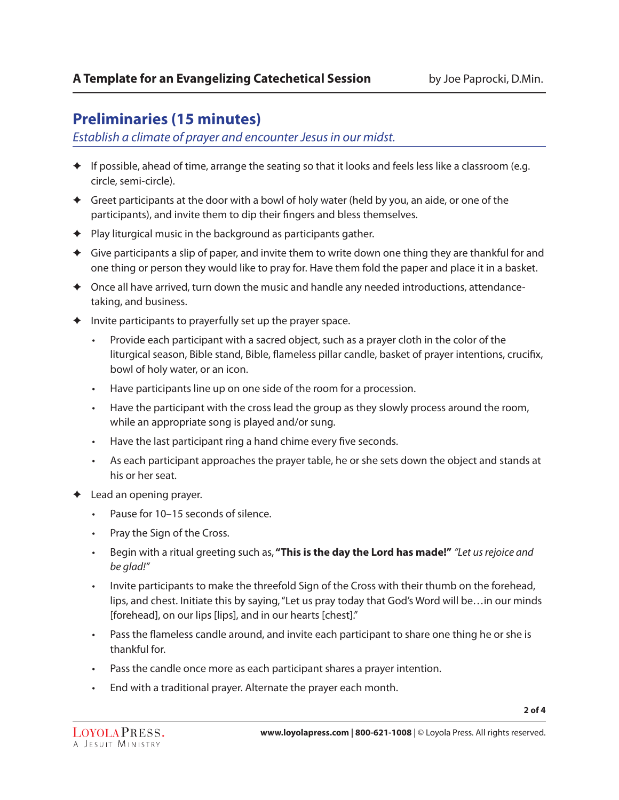## **Preliminaries (15 minutes)**

*Establish a climate of prayer and encounter Jesus in our midst.* 

- ✦ If possible, ahead of time, arrange the seating so that it looks and feels less like a classroom (e.g. circle, semi-circle).
- ✦ Greet participants at the door with a bowl of holy water (held by you, an aide, or one of the participants), and invite them to dip their fingers and bless themselves.
- $\blacklozenge$  Play liturgical music in the background as participants gather.
- $\triangleq$  Give participants a slip of paper, and invite them to write down one thing they are thankful for and one thing or person they would like to pray for. Have them fold the paper and place it in a basket.
- ✦ Once all have arrived, turn down the music and handle any needed introductions, attendancetaking, and business.
- $\triangleq$  Invite participants to prayerfully set up the prayer space.
	- Provide each participant with a sacred object, such as a prayer cloth in the color of the liturgical season, Bible stand, Bible, flameless pillar candle, basket of prayer intentions, crucifix, bowl of holy water, or an icon.
	- Have participants line up on one side of the room for a procession.
	- Have the participant with the cross lead the group as they slowly process around the room, while an appropriate song is played and/or sung.
	- Have the last participant ring a hand chime every five seconds.
	- As each participant approaches the prayer table, he or she sets down the object and stands at his or her seat.
- ✦ Lead an opening prayer.
	- Pause for 10–15 seconds of silence.
	- Pray the Sign of the Cross.
	- Begin with a ritual greeting such as, **"This is the day the Lord has made!"** *"Let us rejoice and be glad!"*
	- Invite participants to make the threefold Sign of the Cross with their thumb on the forehead, lips, and chest. Initiate this by saying, "Let us pray today that God's Word will be…in our minds [forehead], on our lips [lips], and in our hearts [chest]."
	- Pass the flameless candle around, and invite each participant to share one thing he or she is thankful for.
	- Pass the candle once more as each participant shares a prayer intention.
	- End with a traditional prayer. Alternate the prayer each month.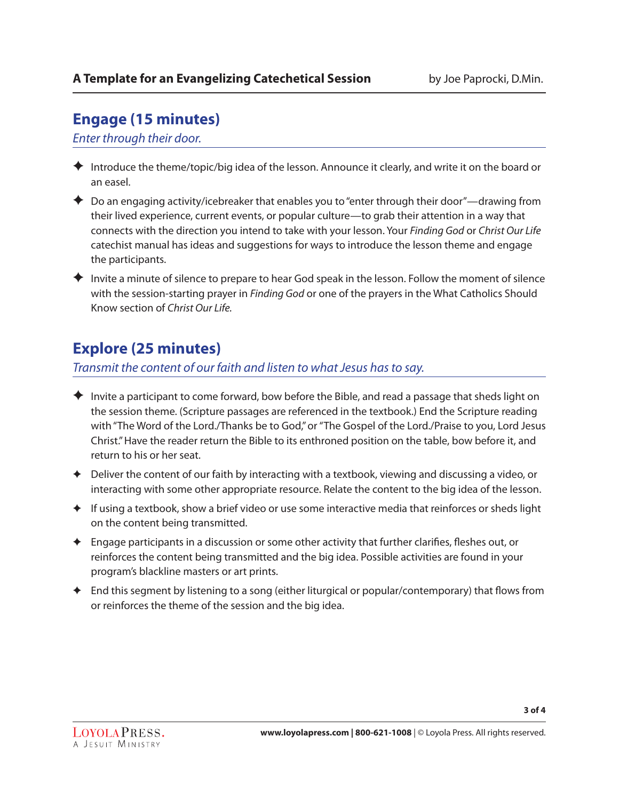## **Engage (15 minutes)**

## *Enter through their door.*

- ✦ Introduce the theme/topic/big idea of the lesson. Announce it clearly, and write it on the board or an easel.
- $\blacklozenge$  Do an engaging activity/icebreaker that enables you to "enter through their door"—drawing from their lived experience, current events, or popular culture—to grab their attention in a way that connects with the direction you intend to take with your lesson. Your *Finding God* or *Christ Our Life* catechist manual has ideas and suggestions for ways to introduce the lesson theme and engage the participants.
- ✦ Invite a minute of silence to prepare to hear God speak in the lesson. Follow the moment of silence with the session-starting prayer in *Finding God* or one of the prayers in the What Catholics Should Know section of *Christ Our Life.*

# **Explore (25 minutes)**

### *Transmit the content of our faith and listen to what Jesus has to say.*

- $\blacklozenge$  Invite a participant to come forward, bow before the Bible, and read a passage that sheds light on the session theme. (Scripture passages are referenced in the textbook.) End the Scripture reading with "The Word of the Lord./Thanks be to God," or "The Gospel of the Lord./Praise to you, Lord Jesus Christ." Have the reader return the Bible to its enthroned position on the table, bow before it, and return to his or her seat.
- $\triangleq$  Deliver the content of our faith by interacting with a textbook, viewing and discussing a video, or interacting with some other appropriate resource. Relate the content to the big idea of the lesson.
- ✦ If using a textbook, show a brief video or use some interactive media that reinforces or sheds light on the content being transmitted.
- ✦ Engage participants in a discussion or some other activity that further clarifies, fleshes out, or reinforces the content being transmitted and the big idea. Possible activities are found in your program's blackline masters or art prints.
- ✦ End this segment by listening to a song (either liturgical or popular/contemporary) that flows from or reinforces the theme of the session and the big idea.